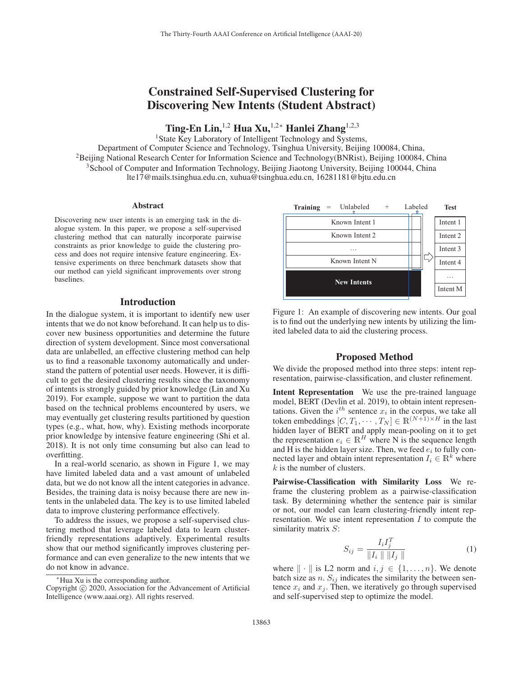# Constrained Self-Supervised Clustering for Discovering New Intents (Student Abstract)

Ting-En Lin,<sup>1,2</sup> Hua Xu,<sup>1,2</sup> Hanlei Zhang<sup>1,2,3</sup>

<sup>1</sup>State Key Laboratory of Intelligent Technology and Systems,

Department of Computer Science and Technology, Tsinghua University, Beijing 100084, China, <sup>2</sup>Beijing National Research Center for Information Science and Technology(BNRist), Beijing 100084, China 3School of Computer and Information Technology, Beijing Jiaotong University, Beijing 100044, China lte17@mails.tsinghua.edu.cn, xuhua@tsinghua.edu.cn, 16281181@bjtu.edu.cn

### Abstract

Discovering new user intents is an emerging task in the dialogue system. In this paper, we propose a self-supervised clustering method that can naturally incorporate pairwise constraints as prior knowledge to guide the clustering process and does not require intensive feature engineering. Extensive experiments on three benchmark datasets show that our method can yield significant improvements over strong baselines.

# Introduction

In the dialogue system, it is important to identify new user intents that we do not know beforehand. It can help us to discover new business opportunities and determine the future direction of system development. Since most conversational data are unlabelled, an effective clustering method can help us to find a reasonable taxonomy automatically and understand the pattern of potential user needs. However, it is difficult to get the desired clustering results since the taxonomy of intents is strongly guided by prior knowledge (Lin and Xu 2019). For example, suppose we want to partition the data based on the technical problems encountered by users, we may eventually get clustering results partitioned by question types (e.g., what, how, why). Existing methods incorporate prior knowledge by intensive feature engineering (Shi et al. 2018). It is not only time consuming but also can lead to overfitting.

In a real-world scenario, as shown in Figure 1, we may have limited labeled data and a vast amount of unlabeled data, but we do not know all the intent categories in advance. Besides, the training data is noisy because there are new intents in the unlabeled data. The key is to use limited labeled data to improve clustering performance effectively.

To address the issues, we propose a self-supervised clustering method that leverage labeled data to learn clusterfriendly representations adaptively. Experimental results show that our method significantly improves clustering performance and can even generalize to the new intents that we do not know in advance.



Figure 1: An example of discovering new intents. Our goal is to find out the underlying new intents by utilizing the limited labeled data to aid the clustering process.

# Proposed Method

We divide the proposed method into three steps: intent representation, pairwise-classification, and cluster refinement.

Intent Representation We use the pre-trained language model, BERT (Devlin et al. 2019), to obtain intent representations. Given the  $i^{th}$  sentence  $x_i$  in the corpus, we take all token embeddings  $[C, T_1, \cdots, T_N] \in \mathbb{R}^{(N+1) \times H}$  in the last hidden layer of BERT and apply mean-pooling on it to get the representation  $e_i \in \mathbb{R}^H$  where N is the sequence length and H is the hidden layer size. Then, we feed  $e_i$  to fully connected layer and obtain intent representation  $I_i \in \mathbb{R}^k$  where  $k$  is the number of clusters.

Pairwise-Classification with Similarity Loss We reframe the clustering problem as a pairwise-classification task. By determining whether the sentence pair is similar or not, our model can learn clustering-friendly intent representation. We use intent representation  $I$  to compute the similarity matrix S:

$$
S_{ij} = \frac{I_i I_j^T}{\|I_i\| \|I_j\|} \tag{1}
$$

where  $\|\cdot\|$  is L2 norm and  $i, j \in \{1, ..., n\}$ . We denote batch size as n.  $S_{ij}$  indicates the similarity the between sentence  $x_i$  and  $x_j$ . Then, we iteratively go through supervised and self-supervised step to optimize the model.

<sup>∗</sup>Hua Xu is the corresponding author.

Copyright  $\odot$  2020, Association for the Advancement of Artificial Intelligence (www.aaai.org). All rights reserved.